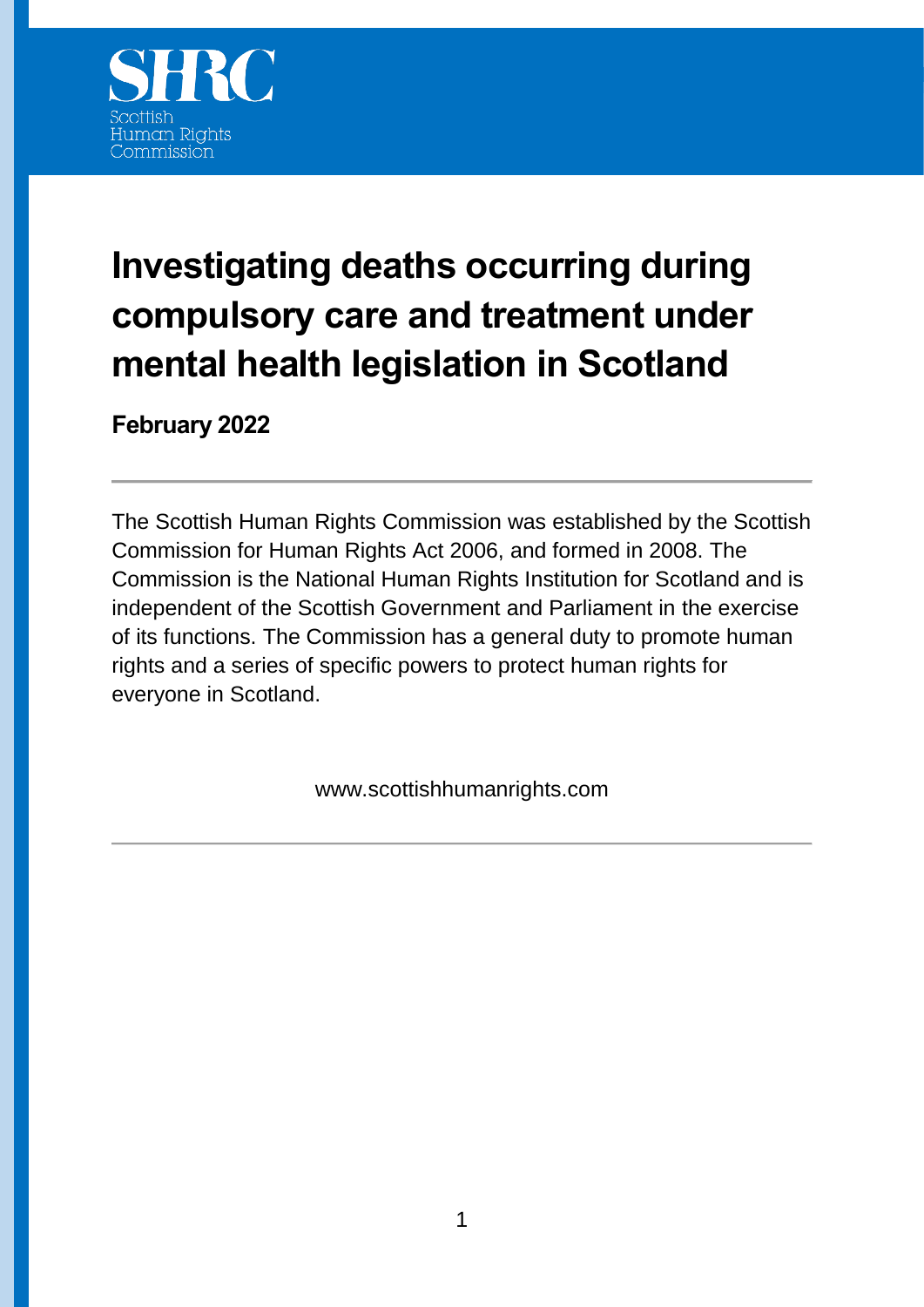

# **Investigating deaths occurring during compulsory care and treatment under mental health legislation in Scotland**

**February 2022**

The Scottish Human Rights Commission was established by the Scottish Commission for Human Rights Act 2006, and formed in 2008. The Commission is the National Human Rights Institution for Scotland and is independent of the Scottish Government and Parliament in the exercise of its functions. The Commission has a general duty to promote human rights and a series of specific powers to protect human rights for everyone in Scotland.

www.scottishhumanrights.com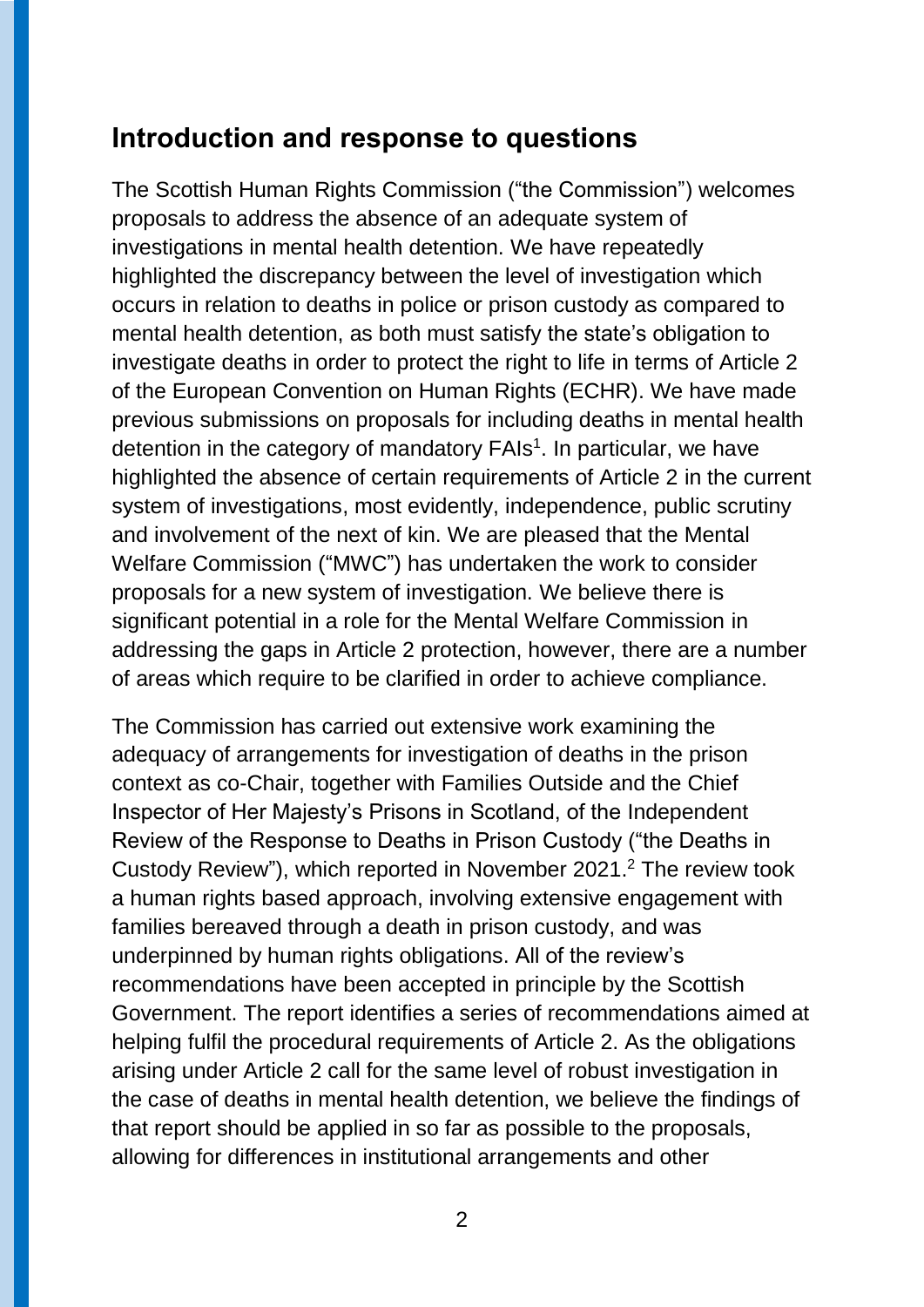#### **Introduction and response to questions**

The Scottish Human Rights Commission ("the Commission") welcomes proposals to address the absence of an adequate system of investigations in mental health detention. We have repeatedly highlighted the discrepancy between the level of investigation which occurs in relation to deaths in police or prison custody as compared to mental health detention, as both must satisfy the state's obligation to investigate deaths in order to protect the right to life in terms of Article 2 of the European Convention on Human Rights (ECHR). We have made previous submissions on proposals for including deaths in mental health detention in the category of mandatory FAIs<sup>1</sup>. In particular, we have highlighted the absence of certain requirements of Article 2 in the current system of investigations, most evidently, independence, public scrutiny and involvement of the next of kin. We are pleased that the Mental Welfare Commission ("MWC") has undertaken the work to consider proposals for a new system of investigation. We believe there is significant potential in a role for the Mental Welfare Commission in addressing the gaps in Article 2 protection, however, there are a number of areas which require to be clarified in order to achieve compliance.

The Commission has carried out extensive work examining the adequacy of arrangements for investigation of deaths in the prison context as co-Chair, together with Families Outside and the Chief Inspector of Her Majesty's Prisons in Scotland, of the Independent Review of the Response to Deaths in Prison Custody ("the Deaths in Custody Review"), which reported in November 2021. <sup>2</sup> The review took a human rights based approach, involving extensive engagement with families bereaved through a death in prison custody, and was underpinned by human rights obligations. All of the review's recommendations have been accepted in principle by the Scottish Government. The report identifies a series of recommendations aimed at helping fulfil the procedural requirements of Article 2. As the obligations arising under Article 2 call for the same level of robust investigation in the case of deaths in mental health detention, we believe the findings of that report should be applied in so far as possible to the proposals, allowing for differences in institutional arrangements and other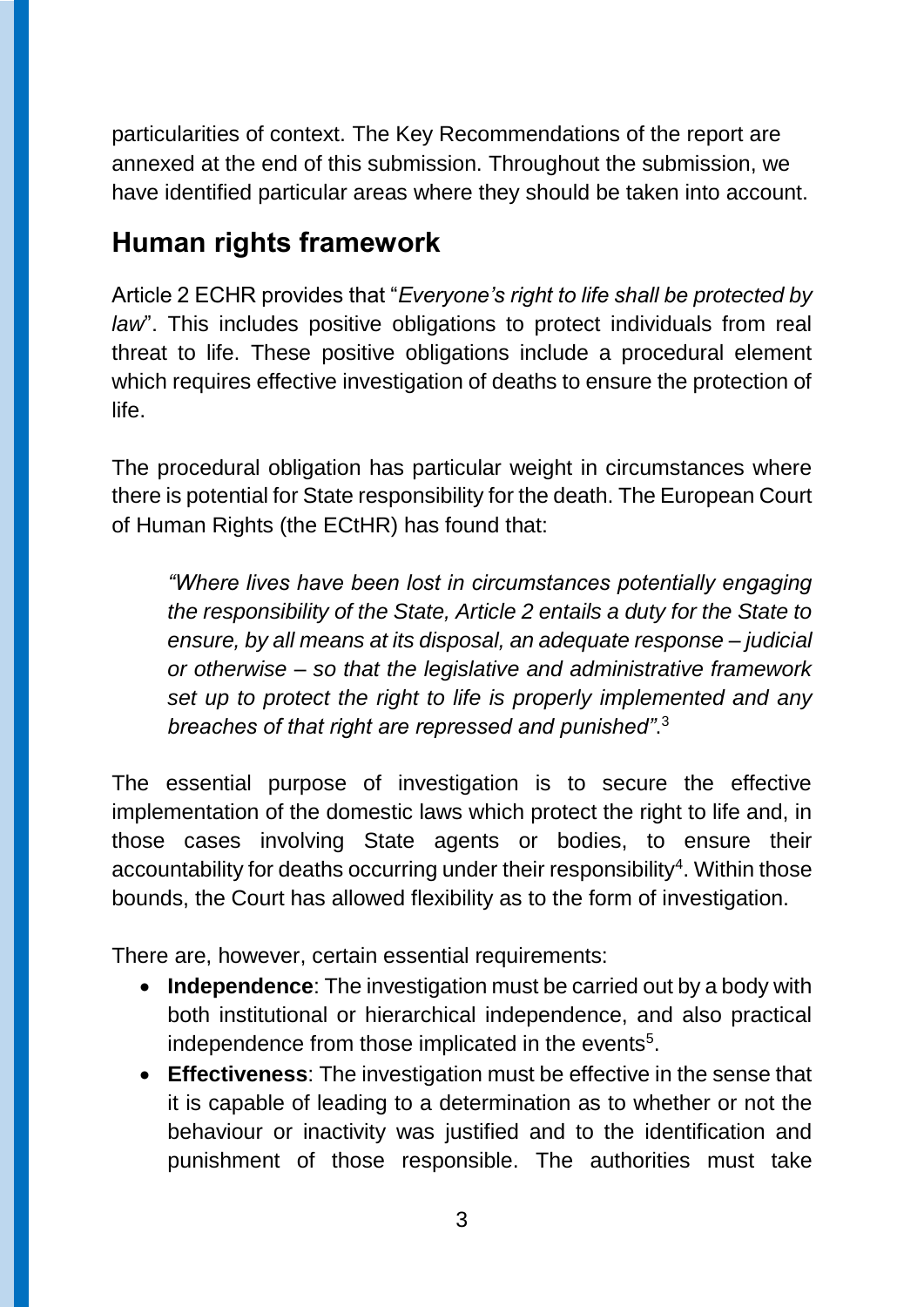particularities of context. The Key Recommendations of the report are annexed at the end of this submission. Throughout the submission, we have identified particular areas where they should be taken into account.

#### **Human rights framework**

Article 2 ECHR provides that "*Everyone's right to life shall be protected by law*". This includes positive obligations to protect individuals from real threat to life. These positive obligations include a procedural element which requires effective investigation of deaths to ensure the protection of life.

The procedural obligation has particular weight in circumstances where there is potential for State responsibility for the death. The European Court of Human Rights (the ECtHR) has found that:

*"Where lives have been lost in circumstances potentially engaging the responsibility of the State, Article 2 entails a duty for the State to ensure, by all means at its disposal, an adequate response – judicial or otherwise – so that the legislative and administrative framework set up to protect the right to life is properly implemented and any breaches of that right are repressed and punished"*. 3

The essential purpose of investigation is to secure the effective implementation of the domestic laws which protect the right to life and, in those cases involving State agents or bodies, to ensure their accountability for deaths occurring under their responsibility<sup>4</sup>. Within those bounds, the Court has allowed flexibility as to the form of investigation.

There are, however, certain essential requirements:

- **Independence**: The investigation must be carried out by a body with both institutional or hierarchical independence, and also practical independence from those implicated in the events<sup>5</sup>.
- **Effectiveness**: The investigation must be effective in the sense that it is capable of leading to a determination as to whether or not the behaviour or inactivity was justified and to the identification and punishment of those responsible. The authorities must take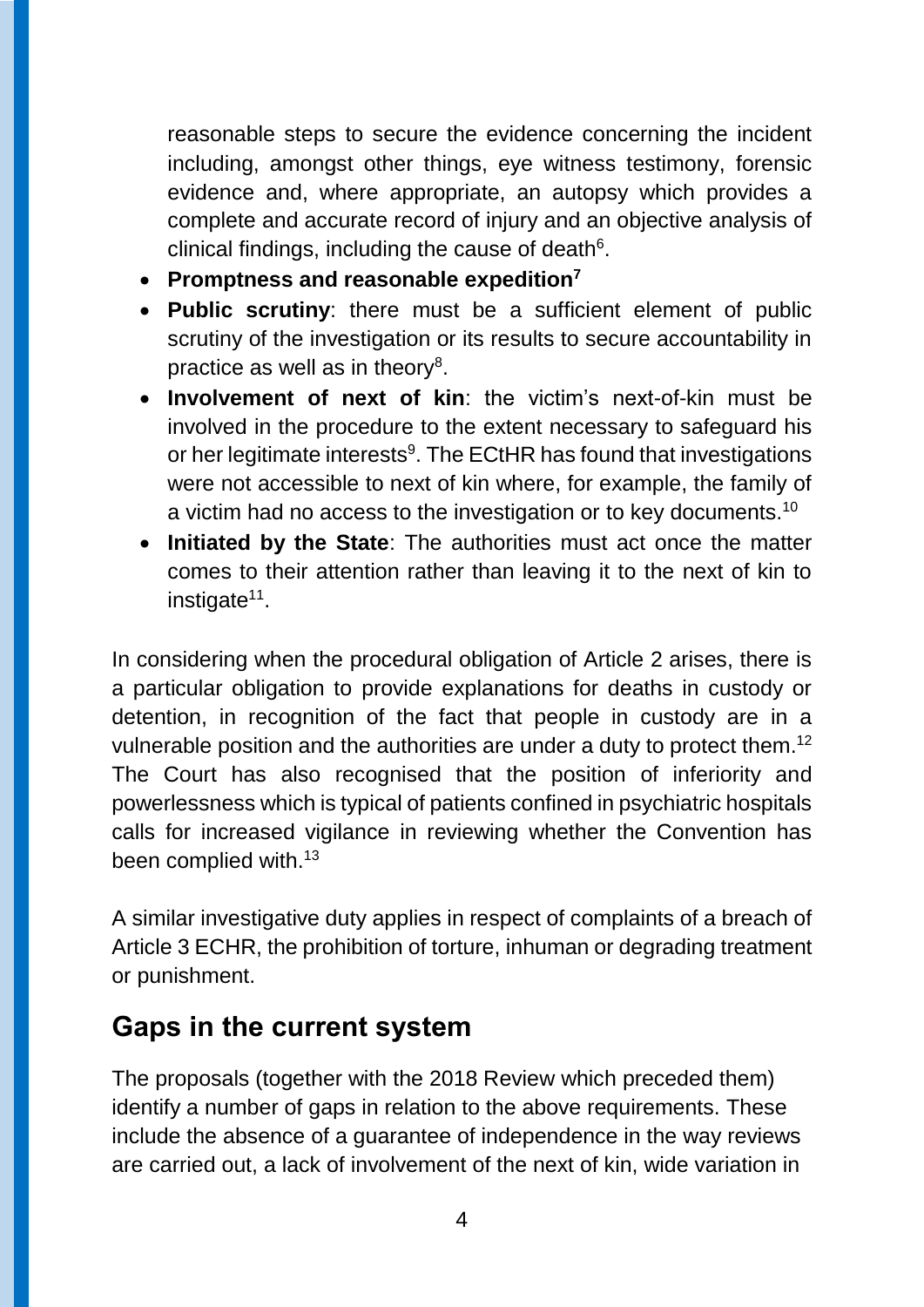reasonable steps to secure the evidence concerning the incident including, amongst other things, eye witness testimony, forensic evidence and, where appropriate, an autopsy which provides a complete and accurate record of injury and an objective analysis of clinical findings, including the cause of death $6$ .

- **Promptness and reasonable expedition<sup>7</sup>**
- **Public scrutiny**: there must be a sufficient element of public scrutiny of the investigation or its results to secure accountability in practice as well as in theory<sup>8</sup>.
- **Involvement of next of kin**: the victim's next-of-kin must be involved in the procedure to the extent necessary to safeguard his or her legitimate interests<sup>9</sup>. The ECtHR has found that investigations were not accessible to next of kin where, for example, the family of a victim had no access to the investigation or to key documents.<sup>10</sup>
- **Initiated by the State**: The authorities must act once the matter comes to their attention rather than leaving it to the next of kin to instigate<sup>11</sup>.

In considering when the procedural obligation of Article 2 arises, there is a particular obligation to provide explanations for deaths in custody or detention, in recognition of the fact that people in custody are in a vulnerable position and the authorities are under a duty to protect them.<sup>12</sup> The Court has also recognised that the position of inferiority and powerlessness which is typical of patients confined in psychiatric hospitals calls for increased vigilance in reviewing whether the Convention has been complied with.<sup>13</sup>

A similar investigative duty applies in respect of complaints of a breach of Article 3 ECHR, the prohibition of torture, inhuman or degrading treatment or punishment.

#### **Gaps in the current system**

The proposals (together with the 2018 Review which preceded them) identify a number of gaps in relation to the above requirements. These include the absence of a guarantee of independence in the way reviews are carried out, a lack of involvement of the next of kin, wide variation in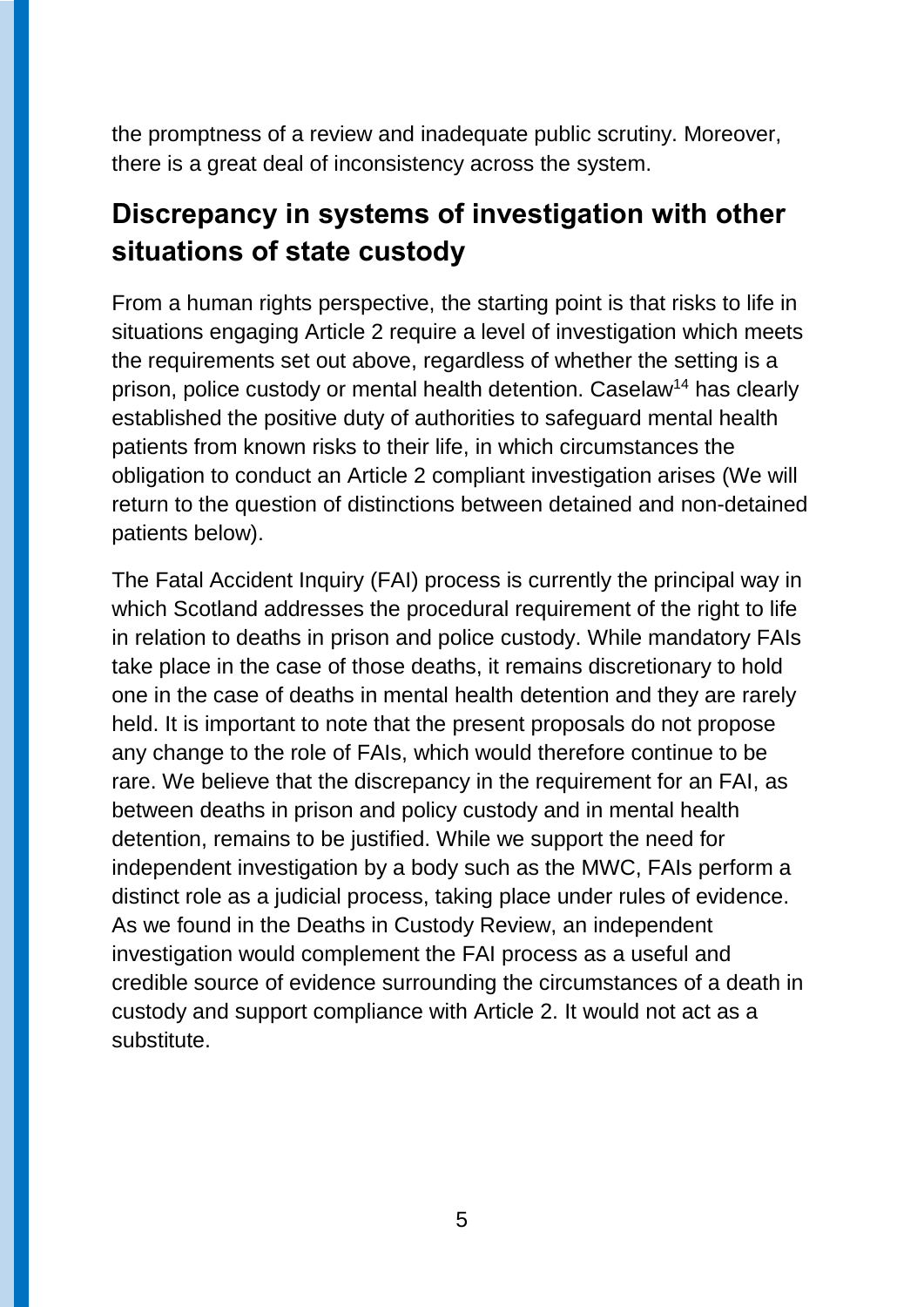the promptness of a review and inadequate public scrutiny. Moreover, there is a great deal of inconsistency across the system.

### **Discrepancy in systems of investigation with other situations of state custody**

From a human rights perspective, the starting point is that risks to life in situations engaging Article 2 require a level of investigation which meets the requirements set out above, regardless of whether the setting is a prison, police custody or mental health detention. Caselaw<sup>14</sup> has clearly established the positive duty of authorities to safeguard mental health patients from known risks to their life, in which circumstances the obligation to conduct an Article 2 compliant investigation arises (We will return to the question of distinctions between detained and non-detained patients below).

The Fatal Accident Inquiry (FAI) process is currently the principal way in which Scotland addresses the procedural requirement of the right to life in relation to deaths in prison and police custody. While mandatory FAIs take place in the case of those deaths, it remains discretionary to hold one in the case of deaths in mental health detention and they are rarely held. It is important to note that the present proposals do not propose any change to the role of FAIs, which would therefore continue to be rare. We believe that the discrepancy in the requirement for an FAI, as between deaths in prison and policy custody and in mental health detention, remains to be justified. While we support the need for independent investigation by a body such as the MWC, FAIs perform a distinct role as a judicial process, taking place under rules of evidence. As we found in the Deaths in Custody Review, an independent investigation would complement the FAI process as a useful and credible source of evidence surrounding the circumstances of a death in custody and support compliance with Article 2. It would not act as a substitute.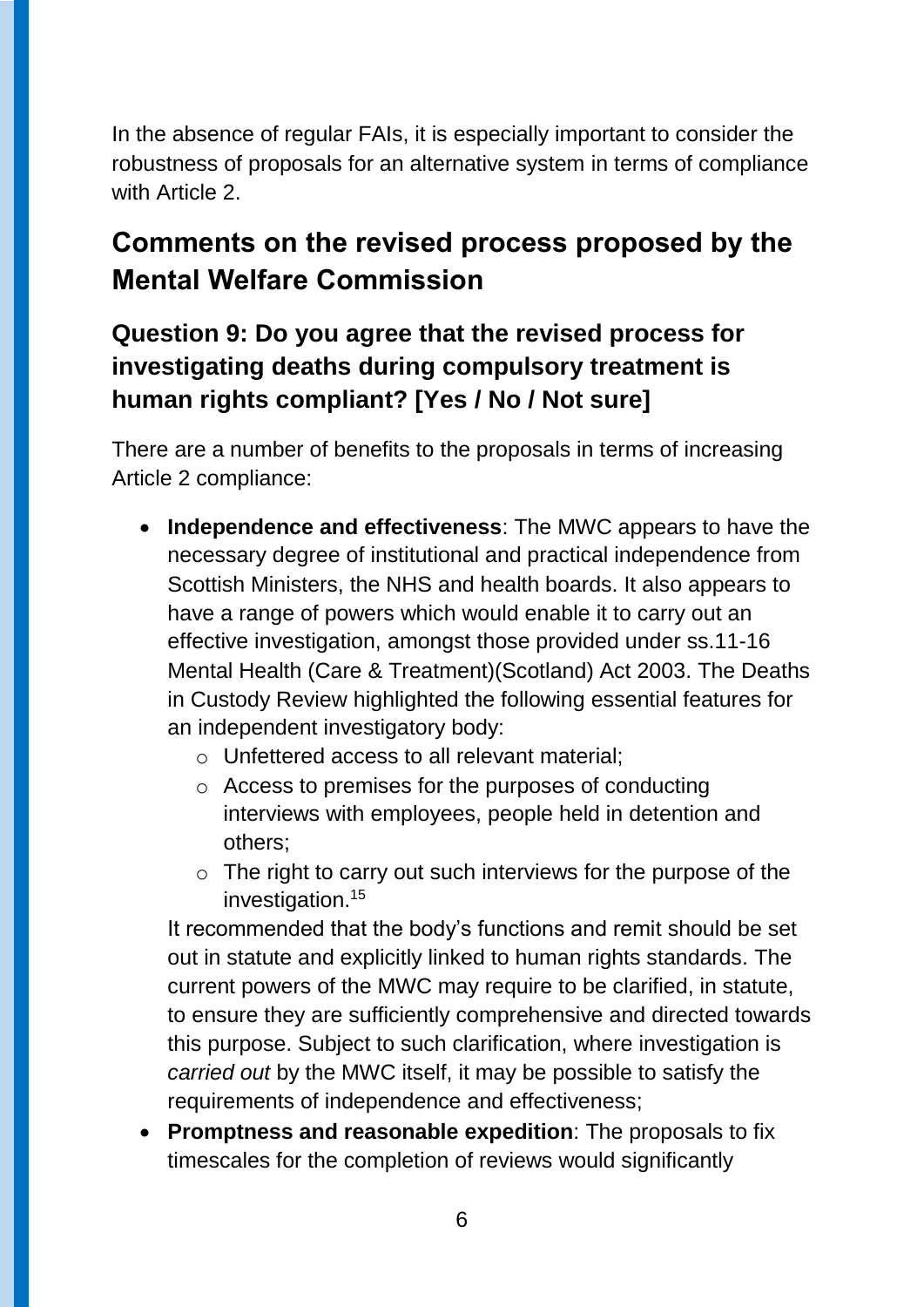In the absence of regular FAIs, it is especially important to consider the robustness of proposals for an alternative system in terms of compliance with Article 2

## **Comments on the revised process proposed by the Mental Welfare Commission**

#### **Question 9: Do you agree that the revised process for investigating deaths during compulsory treatment is human rights compliant? [Yes / No / Not sure]**

There are a number of benefits to the proposals in terms of increasing Article 2 compliance:

- **Independence and effectiveness**: The MWC appears to have the necessary degree of institutional and practical independence from Scottish Ministers, the NHS and health boards. It also appears to have a range of powers which would enable it to carry out an effective investigation, amongst those provided under ss.11-16 Mental Health (Care & Treatment)(Scotland) Act 2003. The Deaths in Custody Review highlighted the following essential features for an independent investigatory body:
	- o Unfettered access to all relevant material;
	- o Access to premises for the purposes of conducting interviews with employees, people held in detention and others;
	- $\circ$  The right to carry out such interviews for the purpose of the investigation.<sup>15</sup>

It recommended that the body's functions and remit should be set out in statute and explicitly linked to human rights standards. The current powers of the MWC may require to be clarified, in statute, to ensure they are sufficiently comprehensive and directed towards this purpose. Subject to such clarification, where investigation is *carried out* by the MWC itself, it may be possible to satisfy the requirements of independence and effectiveness;

 **Promptness and reasonable expedition**: The proposals to fix timescales for the completion of reviews would significantly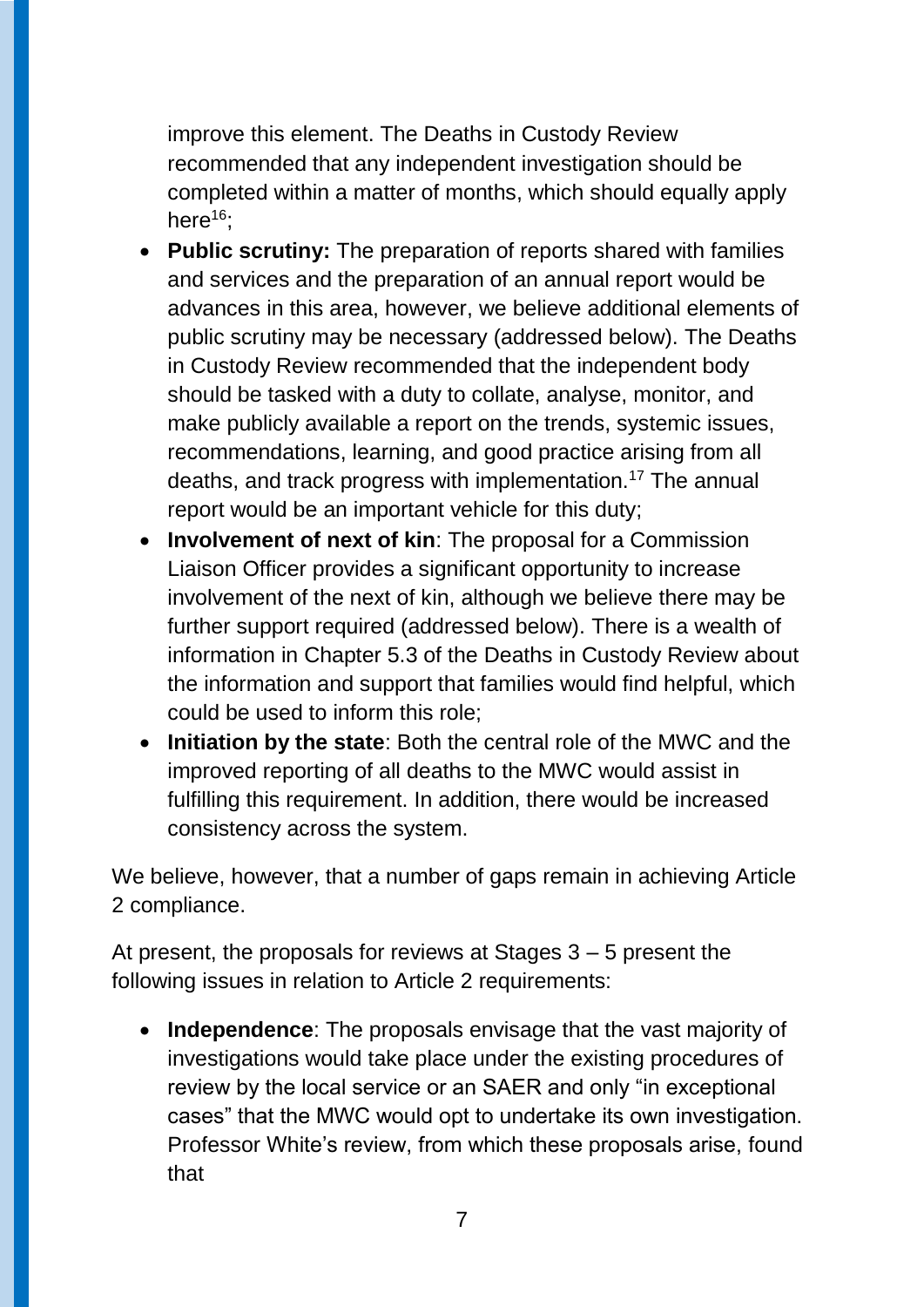improve this element. The Deaths in Custody Review recommended that any independent investigation should be completed within a matter of months, which should equally apply here<sup>16</sup>;

- **Public scrutiny:** The preparation of reports shared with families and services and the preparation of an annual report would be advances in this area, however, we believe additional elements of public scrutiny may be necessary (addressed below). The Deaths in Custody Review recommended that the independent body should be tasked with a duty to collate, analyse, monitor, and make publicly available a report on the trends, systemic issues, recommendations, learning, and good practice arising from all deaths, and track progress with implementation.<sup>17</sup> The annual report would be an important vehicle for this duty;
- **Involvement of next of kin**: The proposal for a Commission Liaison Officer provides a significant opportunity to increase involvement of the next of kin, although we believe there may be further support required (addressed below). There is a wealth of information in Chapter 5.3 of the Deaths in Custody Review about the information and support that families would find helpful, which could be used to inform this role;
- **Initiation by the state**: Both the central role of the MWC and the improved reporting of all deaths to the MWC would assist in fulfilling this requirement. In addition, there would be increased consistency across the system.

We believe, however, that a number of gaps remain in achieving Article 2 compliance.

At present, the proposals for reviews at Stages 3 – 5 present the following issues in relation to Article 2 requirements:

 **Independence**: The proposals envisage that the vast majority of investigations would take place under the existing procedures of review by the local service or an SAER and only "in exceptional cases" that the MWC would opt to undertake its own investigation. Professor White's review, from which these proposals arise, found that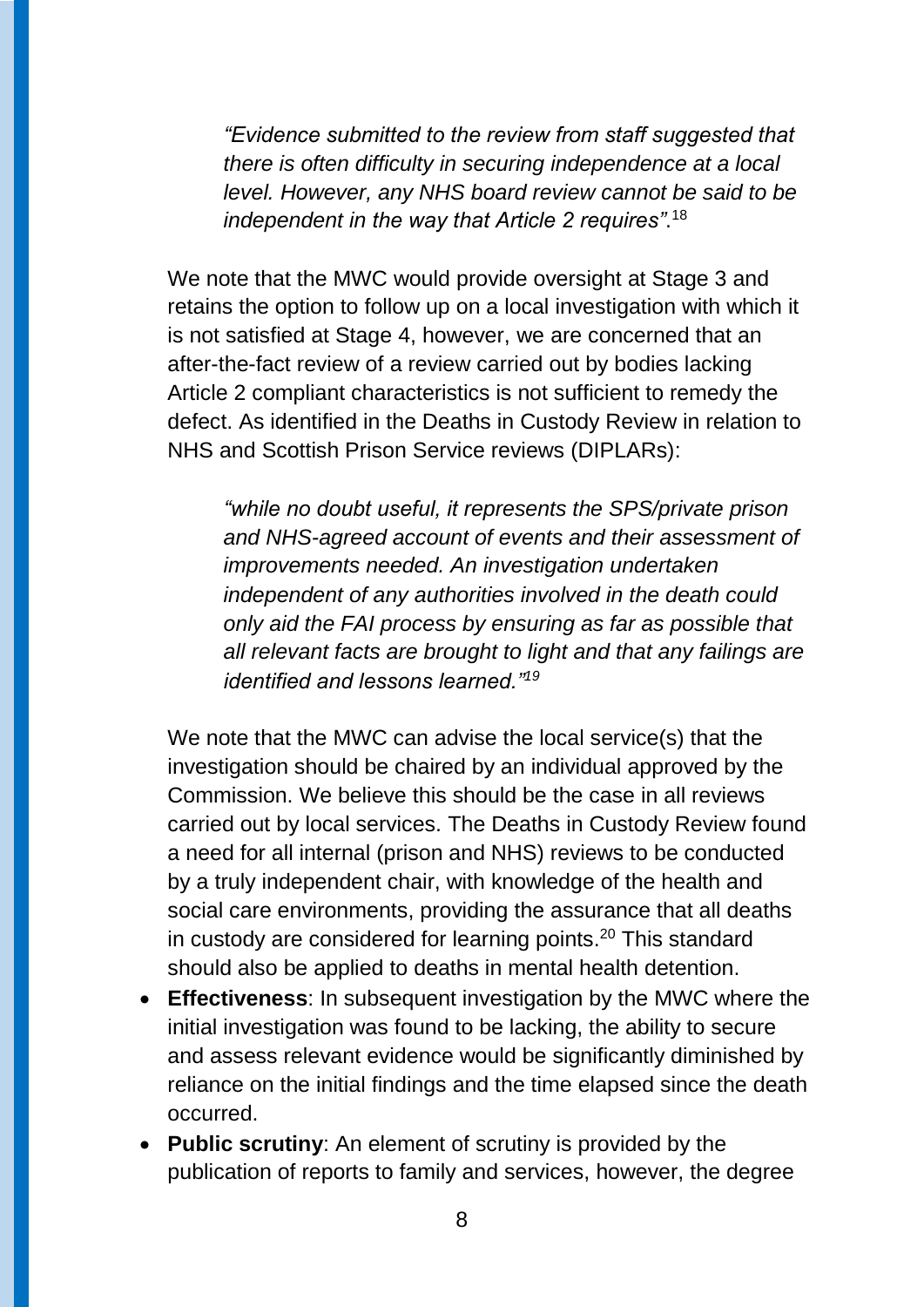*"Evidence submitted to the review from staff suggested that there is often difficulty in securing independence at a local level. However, any NHS board review cannot be said to be independent in the way that Article 2 requires"*. 18

We note that the MWC would provide oversight at Stage 3 and retains the option to follow up on a local investigation with which it is not satisfied at Stage 4, however, we are concerned that an after-the-fact review of a review carried out by bodies lacking Article 2 compliant characteristics is not sufficient to remedy the defect. As identified in the Deaths in Custody Review in relation to NHS and Scottish Prison Service reviews (DIPLARs):

*"while no doubt useful, it represents the SPS/private prison and NHS-agreed account of events and their assessment of improvements needed. An investigation undertaken independent of any authorities involved in the death could only aid the FAI process by ensuring as far as possible that all relevant facts are brought to light and that any failings are identified and lessons learned."<sup>19</sup>*

We note that the MWC can advise the local service(s) that the investigation should be chaired by an individual approved by the Commission. We believe this should be the case in all reviews carried out by local services. The Deaths in Custody Review found a need for all internal (prison and NHS) reviews to be conducted by a truly independent chair, with knowledge of the health and social care environments, providing the assurance that all deaths in custody are considered for learning points.<sup>20</sup> This standard should also be applied to deaths in mental health detention.

- **Effectiveness**: In subsequent investigation by the MWC where the initial investigation was found to be lacking, the ability to secure and assess relevant evidence would be significantly diminished by reliance on the initial findings and the time elapsed since the death occurred.
- **Public scrutiny**: An element of scrutiny is provided by the publication of reports to family and services, however, the degree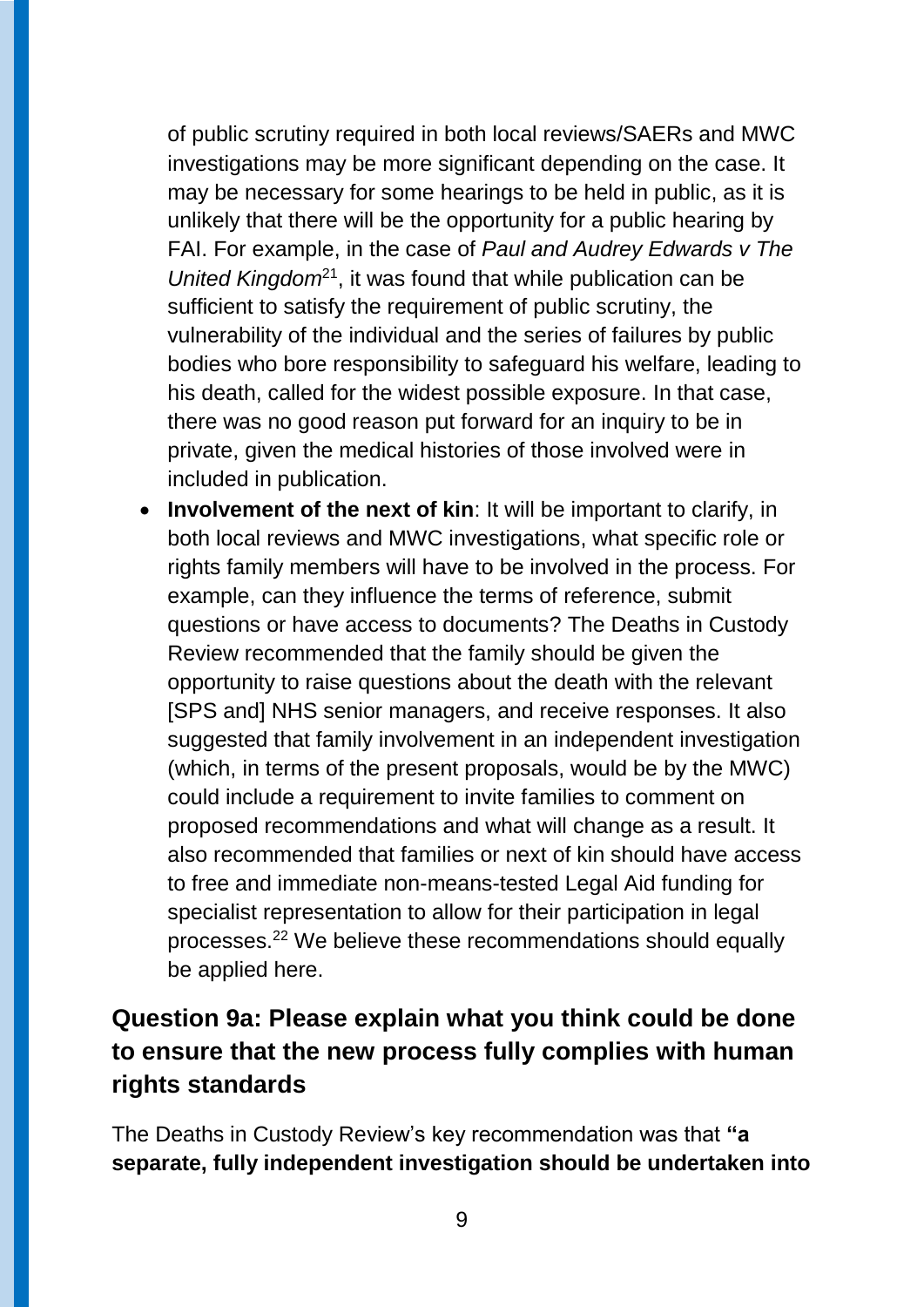of public scrutiny required in both local reviews/SAERs and MWC investigations may be more significant depending on the case. It may be necessary for some hearings to be held in public, as it is unlikely that there will be the opportunity for a public hearing by FAI. For example, in the case of *Paul and Audrey Edwards v The United Kingdom*<sup>21</sup>, it was found that while publication can be sufficient to satisfy the requirement of public scrutiny, the vulnerability of the individual and the series of failures by public bodies who bore responsibility to safeguard his welfare, leading to his death, called for the widest possible exposure. In that case, there was no good reason put forward for an inquiry to be in private, given the medical histories of those involved were in included in publication.

 **Involvement of the next of kin**: It will be important to clarify, in both local reviews and MWC investigations, what specific role or rights family members will have to be involved in the process. For example, can they influence the terms of reference, submit questions or have access to documents? The Deaths in Custody Review recommended that the family should be given the opportunity to raise questions about the death with the relevant [SPS and] NHS senior managers, and receive responses. It also suggested that family involvement in an independent investigation (which, in terms of the present proposals, would be by the MWC) could include a requirement to invite families to comment on proposed recommendations and what will change as a result. It also recommended that families or next of kin should have access to free and immediate non-means-tested Legal Aid funding for specialist representation to allow for their participation in legal processes.<sup>22</sup> We believe these recommendations should equally be applied here.

#### **Question 9a: Please explain what you think could be done to ensure that the new process fully complies with human rights standards**

The Deaths in Custody Review's key recommendation was that **"a separate, fully independent investigation should be undertaken into**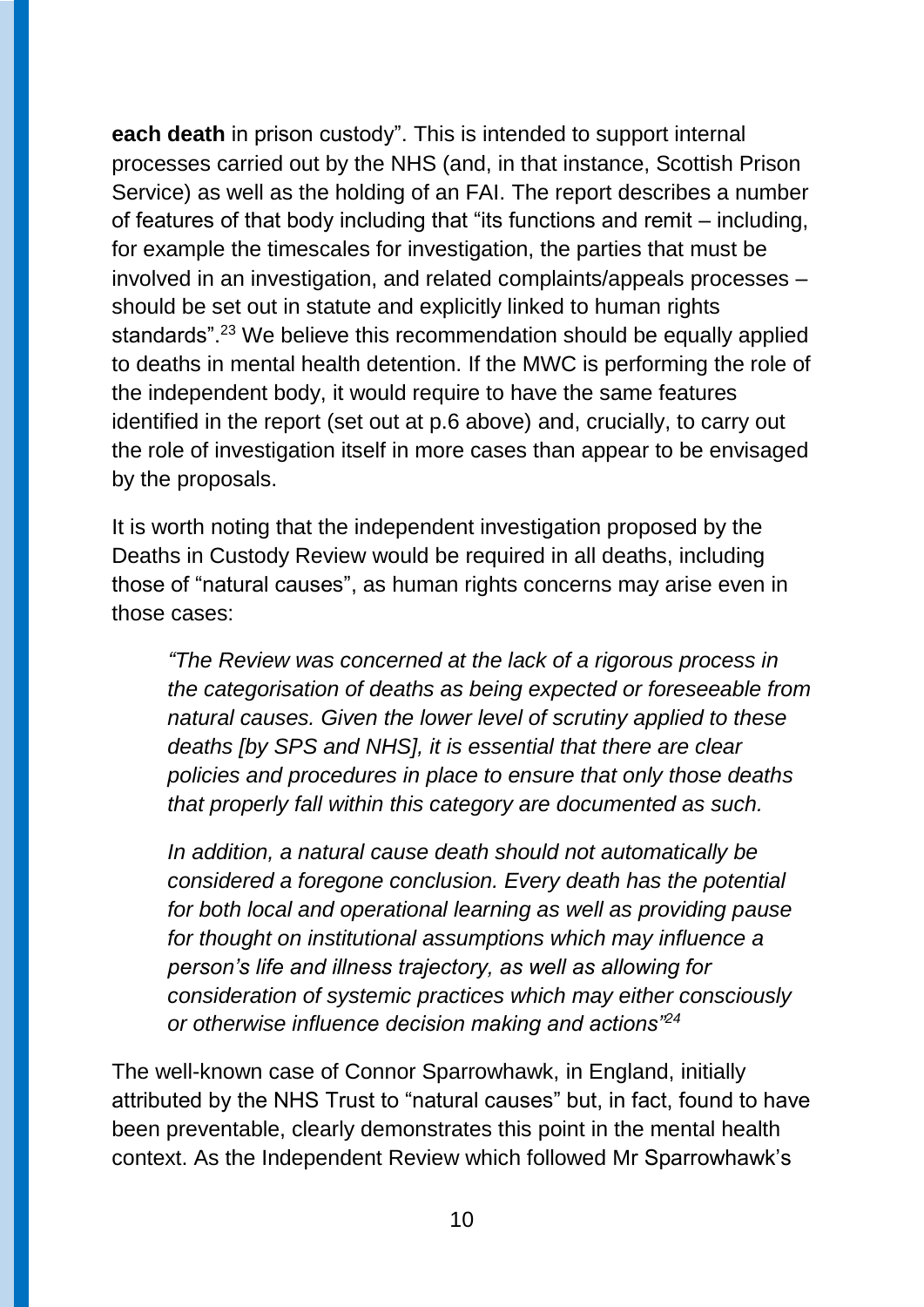**each death** in prison custody". This is intended to support internal processes carried out by the NHS (and, in that instance, Scottish Prison Service) as well as the holding of an FAI. The report describes a number of features of that body including that "its functions and remit – including, for example the timescales for investigation, the parties that must be involved in an investigation, and related complaints/appeals processes – should be set out in statute and explicitly linked to human rights standards"<sup>23</sup> We believe this recommendation should be equally applied to deaths in mental health detention. If the MWC is performing the role of the independent body, it would require to have the same features identified in the report (set out at p.6 above) and, crucially, to carry out the role of investigation itself in more cases than appear to be envisaged by the proposals.

It is worth noting that the independent investigation proposed by the Deaths in Custody Review would be required in all deaths, including those of "natural causes", as human rights concerns may arise even in those cases:

*"The Review was concerned at the lack of a rigorous process in the categorisation of deaths as being expected or foreseeable from natural causes. Given the lower level of scrutiny applied to these deaths [by SPS and NHS], it is essential that there are clear policies and procedures in place to ensure that only those deaths that properly fall within this category are documented as such.* 

*In addition, a natural cause death should not automatically be considered a foregone conclusion. Every death has the potential for both local and operational learning as well as providing pause for thought on institutional assumptions which may influence a person's life and illness trajectory, as well as allowing for consideration of systemic practices which may either consciously or otherwise influence decision making and actions"<sup>24</sup>*

The well-known case of Connor Sparrowhawk, in England, initially attributed by the NHS Trust to "natural causes" but, in fact, found to have been preventable, clearly demonstrates this point in the mental health context. As the Independent Review which followed Mr Sparrowhawk's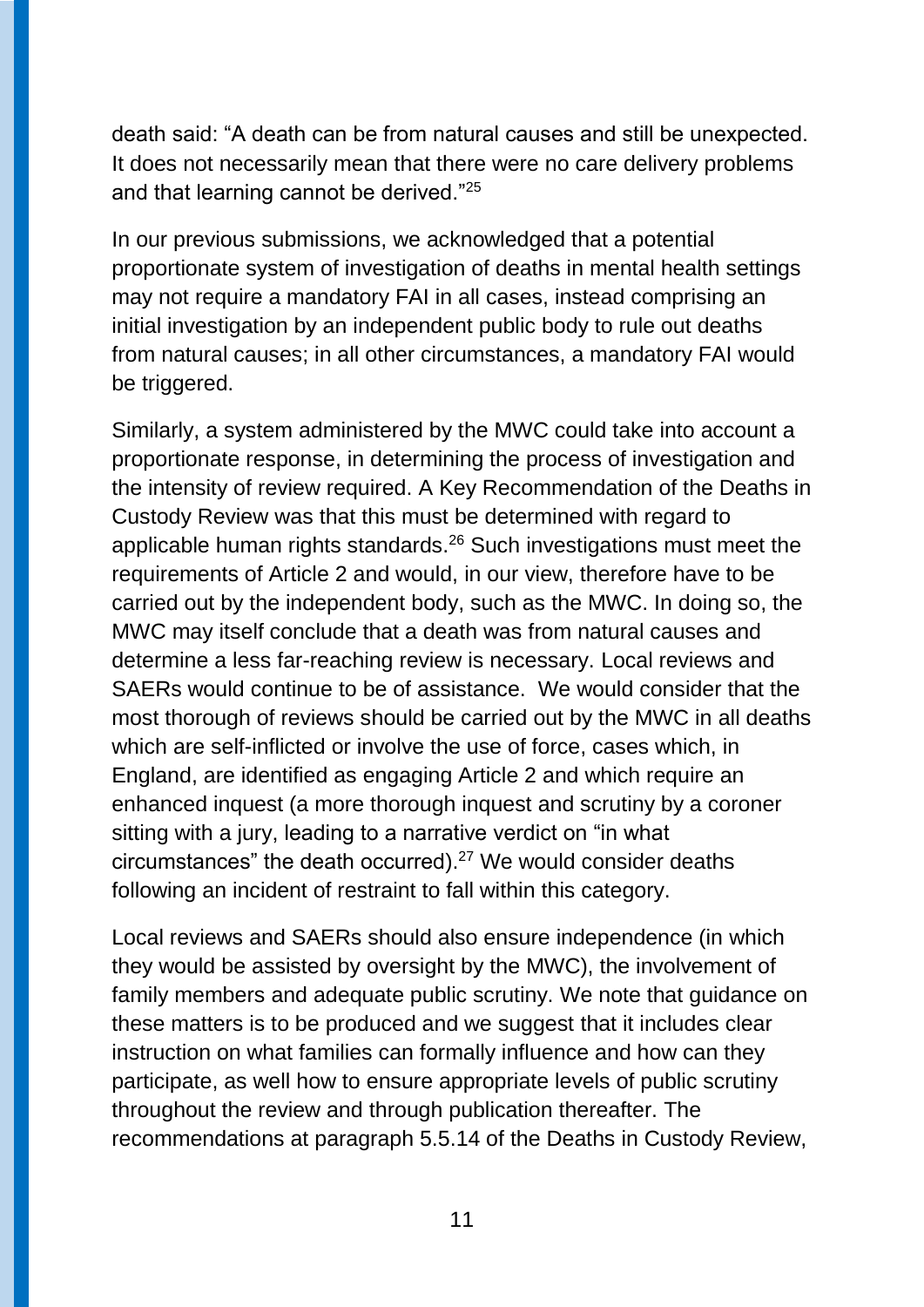death said: "A death can be from natural causes and still be unexpected. It does not necessarily mean that there were no care delivery problems and that learning cannot be derived."<sup>25</sup>

In our previous submissions, we acknowledged that a potential proportionate system of investigation of deaths in mental health settings may not require a mandatory FAI in all cases, instead comprising an initial investigation by an independent public body to rule out deaths from natural causes; in all other circumstances, a mandatory FAI would be triggered.

Similarly, a system administered by the MWC could take into account a proportionate response, in determining the process of investigation and the intensity of review required. A Key Recommendation of the Deaths in Custody Review was that this must be determined with regard to applicable human rights standards.<sup>26</sup> Such investigations must meet the requirements of Article 2 and would, in our view, therefore have to be carried out by the independent body, such as the MWC. In doing so, the MWC may itself conclude that a death was from natural causes and determine a less far-reaching review is necessary. Local reviews and SAERs would continue to be of assistance. We would consider that the most thorough of reviews should be carried out by the MWC in all deaths which are self-inflicted or involve the use of force, cases which, in England, are identified as engaging Article 2 and which require an enhanced inquest (a more thorough inquest and scrutiny by a coroner sitting with a jury, leading to a narrative verdict on "in what circumstances" the death occurred).<sup>27</sup> We would consider deaths following an incident of restraint to fall within this category.

Local reviews and SAERs should also ensure independence (in which they would be assisted by oversight by the MWC), the involvement of family members and adequate public scrutiny. We note that guidance on these matters is to be produced and we suggest that it includes clear instruction on what families can formally influence and how can they participate, as well how to ensure appropriate levels of public scrutiny throughout the review and through publication thereafter. The recommendations at paragraph 5.5.14 of the Deaths in Custody Review,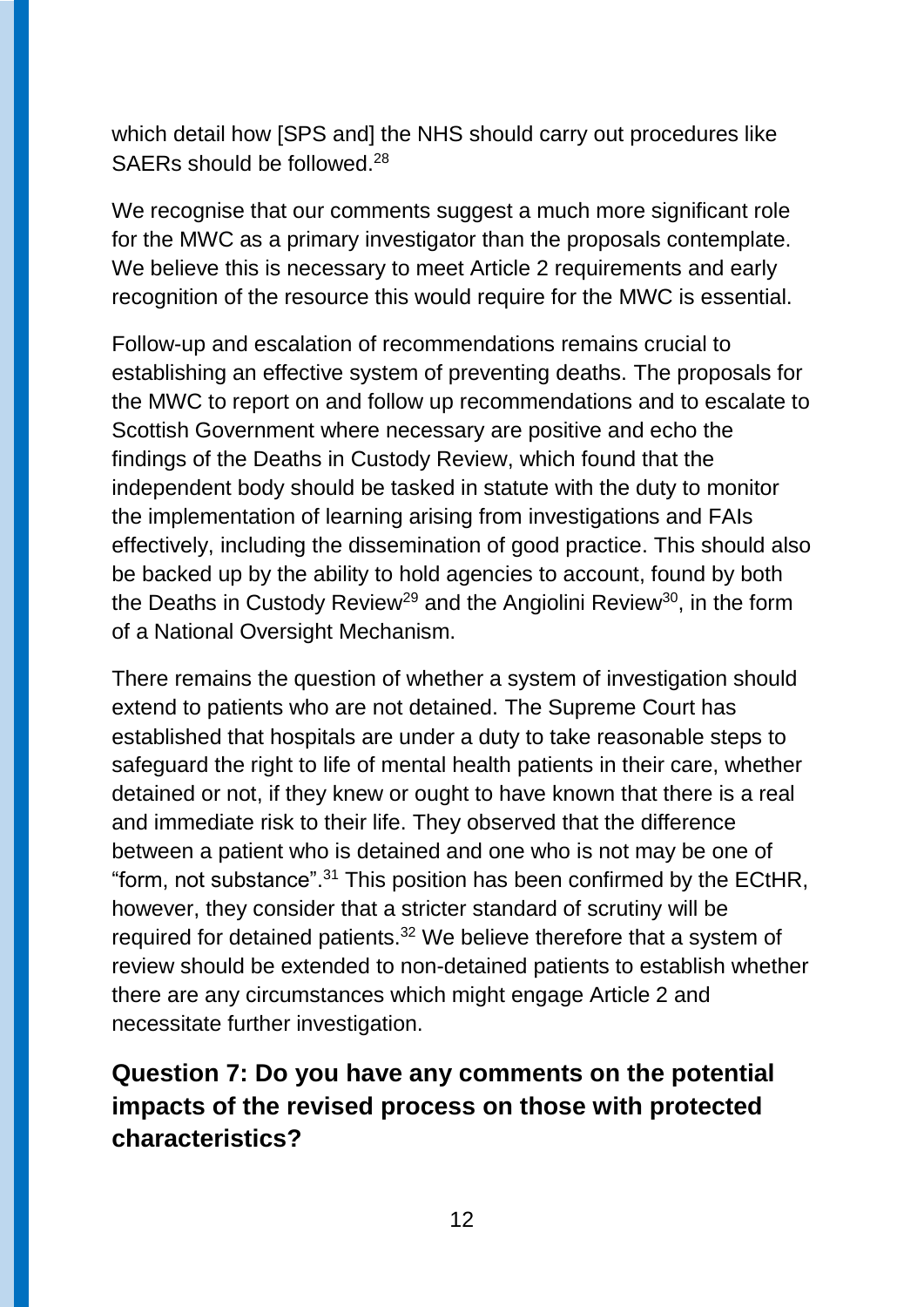which detail how [SPS and] the NHS should carry out procedures like SAERs should be followed.<sup>28</sup>

We recognise that our comments suggest a much more significant role for the MWC as a primary investigator than the proposals contemplate. We believe this is necessary to meet Article 2 requirements and early recognition of the resource this would require for the MWC is essential.

Follow-up and escalation of recommendations remains crucial to establishing an effective system of preventing deaths. The proposals for the MWC to report on and follow up recommendations and to escalate to Scottish Government where necessary are positive and echo the findings of the Deaths in Custody Review, which found that the independent body should be tasked in statute with the duty to monitor the implementation of learning arising from investigations and FAIs effectively, including the dissemination of good practice. This should also be backed up by the ability to hold agencies to account, found by both the Deaths in Custody Review<sup>29</sup> and the Angiolini Review<sup>30</sup>, in the form of a National Oversight Mechanism.

There remains the question of whether a system of investigation should extend to patients who are not detained. The Supreme Court has established that hospitals are under a duty to take reasonable steps to safeguard the right to life of mental health patients in their care, whether detained or not, if they knew or ought to have known that there is a real and immediate risk to their life. They observed that the difference between a patient who is detained and one who is not may be one of "form, not substance". <sup>31</sup> This position has been confirmed by the ECtHR, however, they consider that a stricter standard of scrutiny will be required for detained patients.<sup>32</sup> We believe therefore that a system of review should be extended to non-detained patients to establish whether there are any circumstances which might engage Article 2 and necessitate further investigation.

#### **Question 7: Do you have any comments on the potential impacts of the revised process on those with protected characteristics?**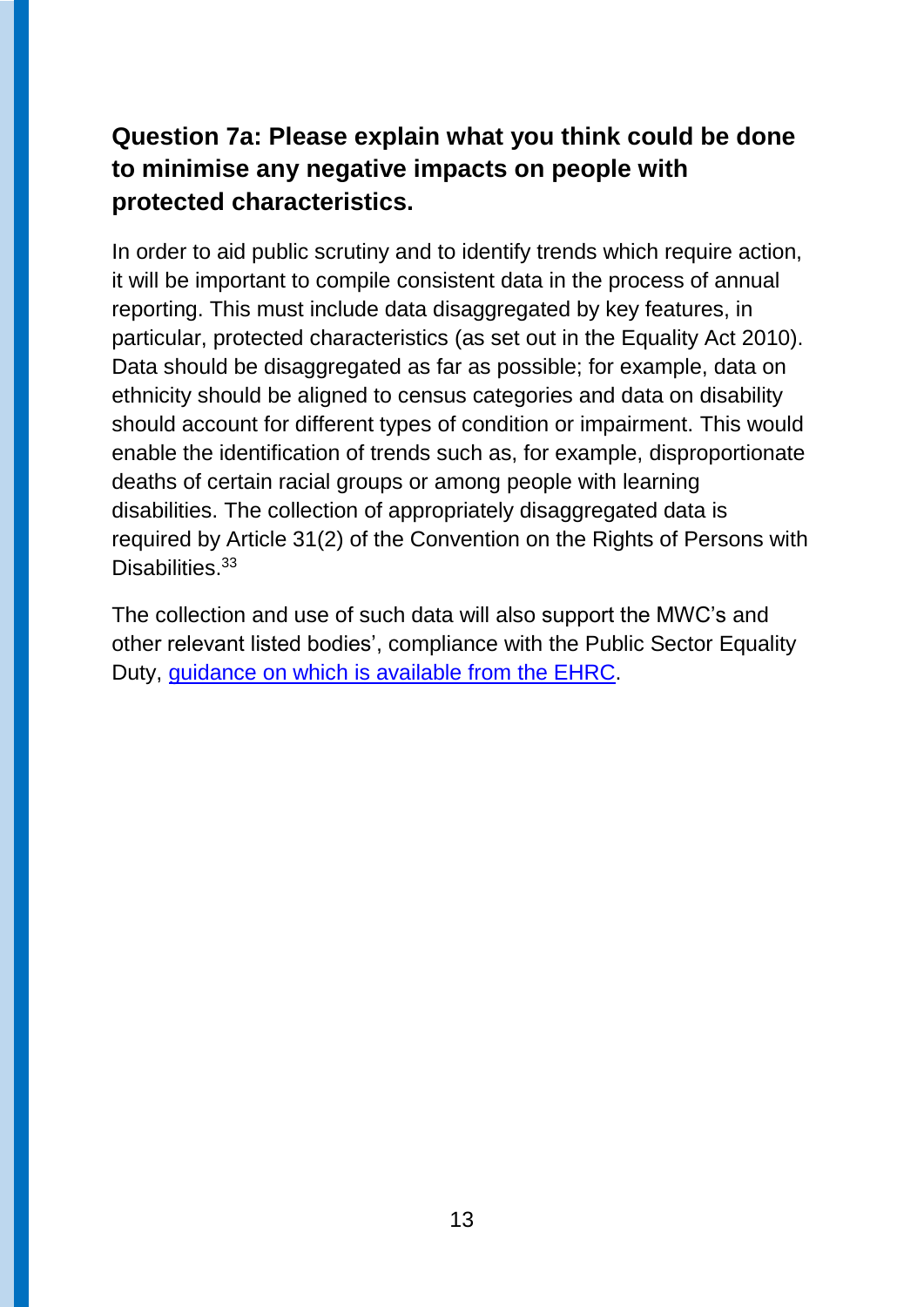#### **Question 7a: Please explain what you think could be done to minimise any negative impacts on people with protected characteristics.**

In order to aid public scrutiny and to identify trends which require action, it will be important to compile consistent data in the process of annual reporting. This must include data disaggregated by key features, in particular, protected characteristics (as set out in the Equality Act 2010). Data should be disaggregated as far as possible; for example, data on ethnicity should be aligned to census categories and data on disability should account for different types of condition or impairment. This would enable the identification of trends such as, for example, disproportionate deaths of certain racial groups or among people with learning disabilities. The collection of appropriately disaggregated data is required by Article 31(2) of the Convention on the Rights of Persons with Disabilities<sup>33</sup>

The collection and use of such data will also support the MWC's and other relevant listed bodies', compliance with the Public Sector Equality Duty, [guidance on which is available from the EHRC.](https://www.equalityhumanrights.com/en/advice-and-guidance/guidance-scottish-public-authorities)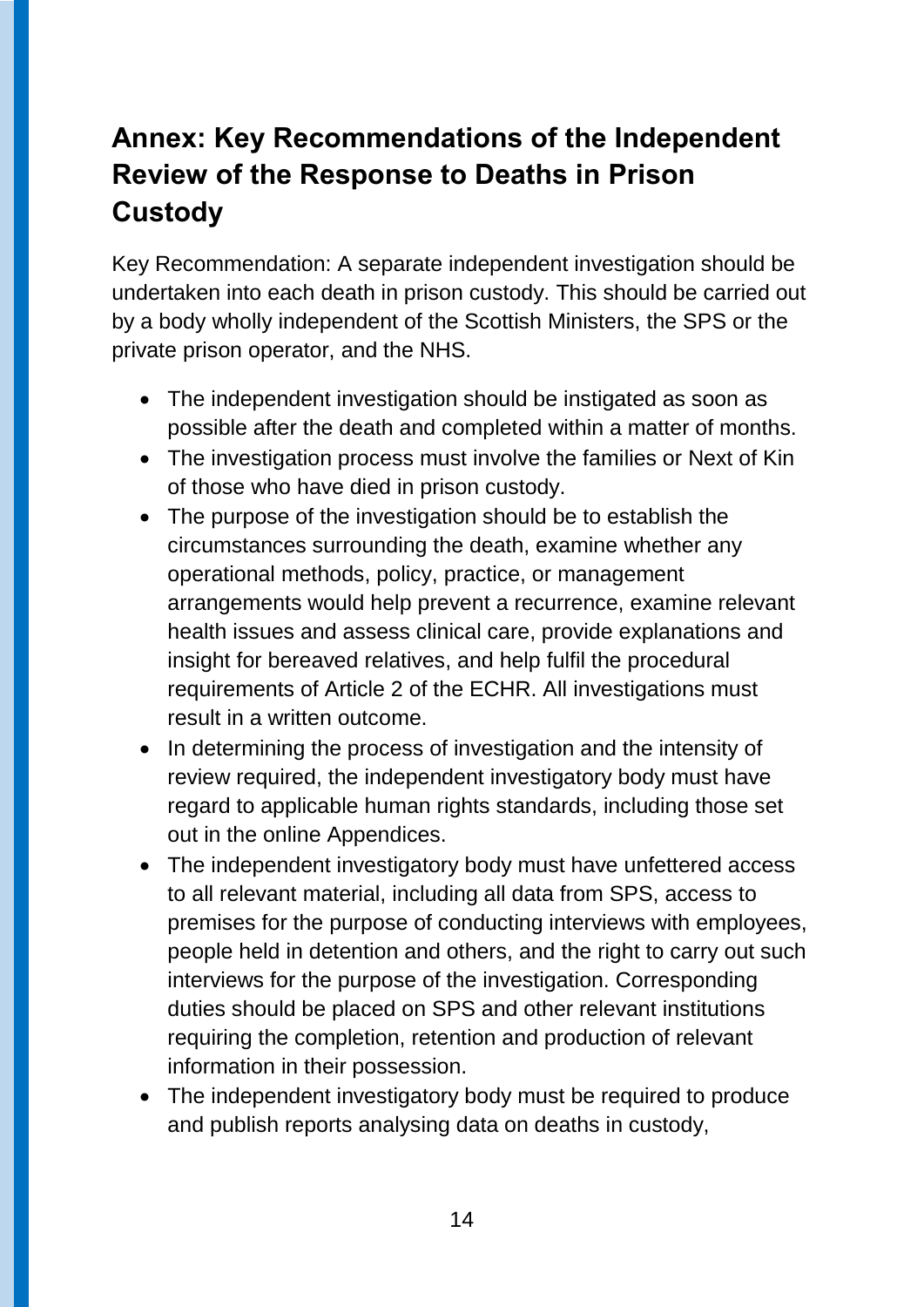## **Annex: Key Recommendations of the Independent Review of the Response to Deaths in Prison Custody**

Key Recommendation: A separate independent investigation should be undertaken into each death in prison custody. This should be carried out by a body wholly independent of the Scottish Ministers, the SPS or the private prison operator, and the NHS.

- The independent investigation should be instigated as soon as possible after the death and completed within a matter of months.
- The investigation process must involve the families or Next of Kin of those who have died in prison custody.
- The purpose of the investigation should be to establish the circumstances surrounding the death, examine whether any operational methods, policy, practice, or management arrangements would help prevent a recurrence, examine relevant health issues and assess clinical care, provide explanations and insight for bereaved relatives, and help fulfil the procedural requirements of Article 2 of the ECHR. All investigations must result in a written outcome.
- In determining the process of investigation and the intensity of review required, the independent investigatory body must have regard to applicable human rights standards, including those set out in the online Appendices.
- The independent investigatory body must have unfettered access to all relevant material, including all data from SPS, access to premises for the purpose of conducting interviews with employees, people held in detention and others, and the right to carry out such interviews for the purpose of the investigation. Corresponding duties should be placed on SPS and other relevant institutions requiring the completion, retention and production of relevant information in their possession.
- The independent investigatory body must be required to produce and publish reports analysing data on deaths in custody,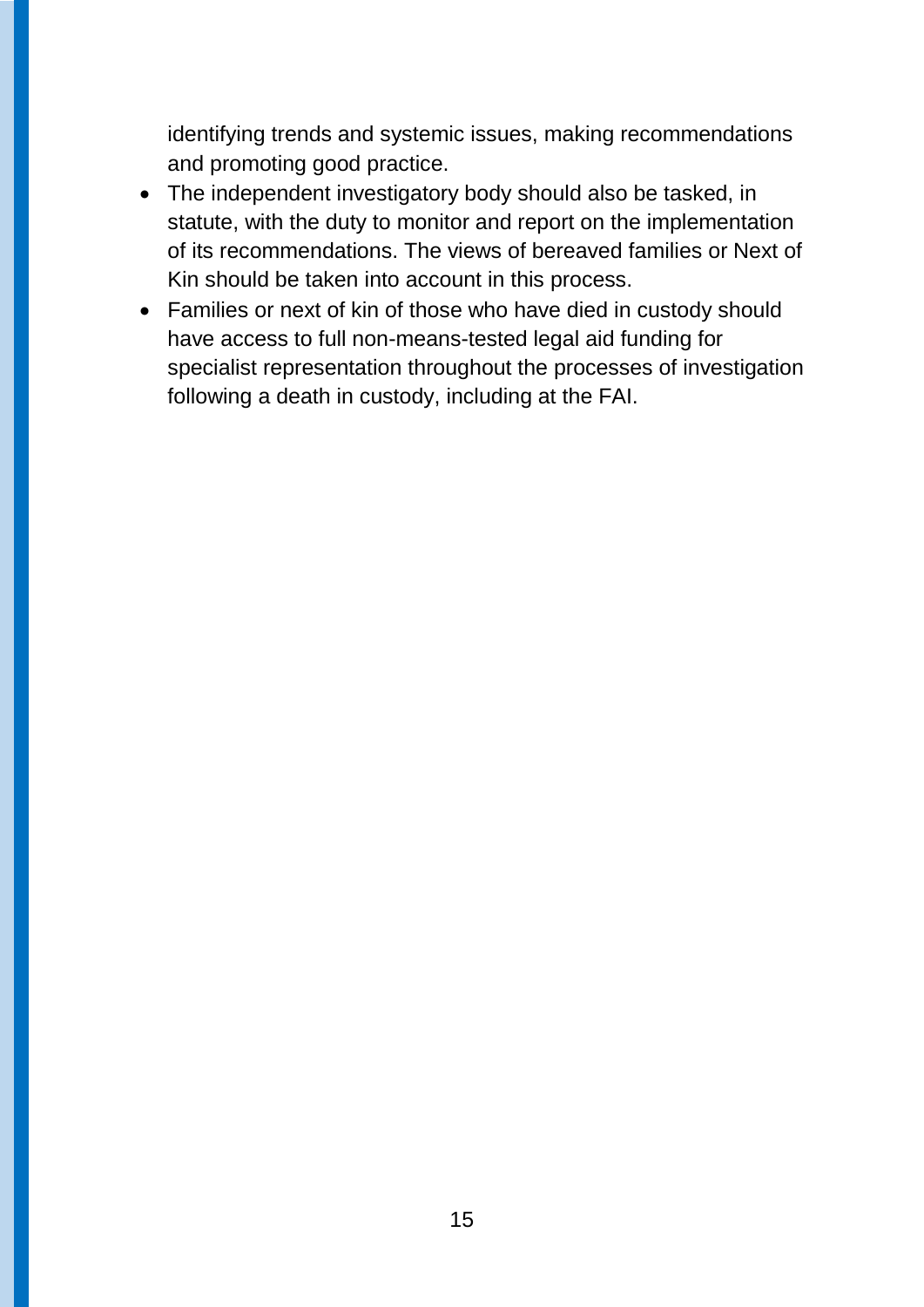identifying trends and systemic issues, making recommendations and promoting good practice.

- The independent investigatory body should also be tasked, in statute, with the duty to monitor and report on the implementation of its recommendations. The views of bereaved families or Next of Kin should be taken into account in this process.
- Families or next of kin of those who have died in custody should have access to full non-means-tested legal aid funding for specialist representation throughout the processes of investigation following a death in custody, including at the FAI.